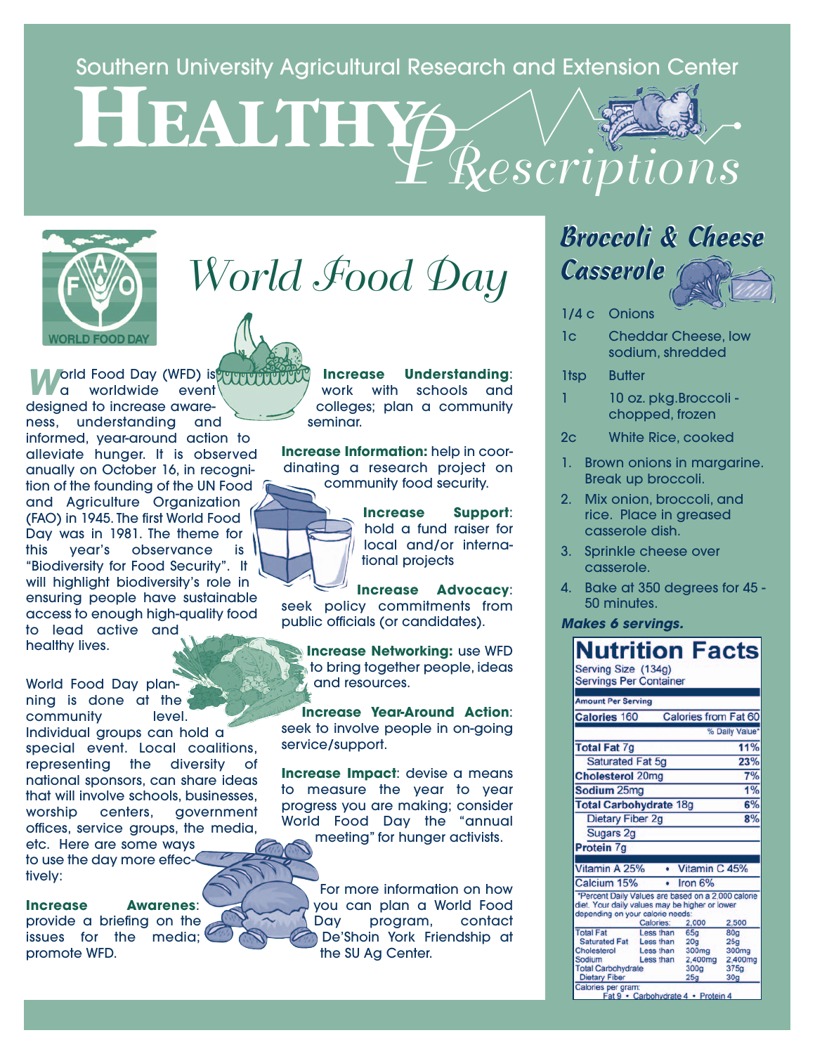Southern University Agricultural Research and Extension Center<br> **HEALTHY** *PRescriptions*



*World Food Day*

**WORLD FOOD DAY (WFD) is the CONDUCT OF A STATE OF A STATE OF A STATE OF A STATE OF A STATE OF A STATE OF A STA** worldwide event designed to increase awareness, understanding and informed, year-around action to alleviate hunger. It is observed anually on October 16, in recognition of the founding of the UN Food and Agriculture Organization (FAO) in 1945. The first World Food Day was in 1981. The theme for this year's observance is "Biodiversity for Food Security". It will highlight biodiversity's role in ensuring people have sustainable access to enough high-quality food to lead active and healthy lives.

World Food Day planning is done at the community level. Individual groups can hold a special event. Local coalitions, representing the diversity of national sponsors, can share ideas that will involve schools, businesses, worship centers, government offices, service groups, the media, etc. Here are some ways to use the day more effectively:

**Increase Awarenes**: provide a briefing on the issues for the media; promote WFD.

**Increase Understanding**: work with schools and colleges; plan a community seminar.

**Increase Information:** help in coordinating a research project on community food security.

> **Increase Support**: hold a fund raiser for local and/or international projects

**Increase Advocacy**: seek policy commitments from public officials (or candidates).

**Increase Networking:** use WFD to bring together people, ideas and resources.

**Increase Year-Around Action**: seek to involve people in on-going service/support.

**Increase Impact**: devise a means to measure the year to year progress you are making; consider World Food Day the "annual meeting" for hunger activists.

> For more information on how you can plan a World Food Day program, contact De'Shoin York Friendship at the SU Ag Center.

| <b>Broccoli &amp; Cheese</b> |
|------------------------------|
| Casserole Capital            |

- 1/4 c Onions
- 1c Cheddar Cheese, low sodium, shredded
- 1tsp Butter
- 1 10 oz. pkg.Broccoli chopped, frozen
- 2c White Rice, cooked
- 1. Brown onions in margarine. Break up broccoli.
- 2. Mix onion, broccoli, and rice. Place in greased casserole dish.
- 3. Sprinkle cheese over casserole.
- 4. Bake at 350 degrees for 45 50 minutes.

#### **Makes 6 servings.**

**Nutrition Facts** Serving Size (134g) **Servings Per Container Amount Per Serving Calories 160 Calories from Fat 60** % Daily Value\* **Total Fat 7g** 11% **Saturated Fat 5g** 23% **Cholesterol 20mg**  $7%$ Sodium 25mg  $1%$ **Total Carbohydrate 18g**  $6%$ **Dietary Fiber 2g**  $8%$ Sugars 2g Protein 7g Vitamin A 25% • Vitamin C 45% Calcium 15%  $\cdot$  Iron 6% \*Percent Daily Values are based on a 2,000 calorie diet. Your daily values may be higher or lower depending on your calorie needs: **Calories:**  $2000$ 2500 80g<br>25g<br>300mg **Total Fat** 65a Less than Saturated Fat Less than  $20g$ Cholesterol Less than  $300<sub>ma</sub>$ Sodium 2,400mg 2,400mg Less than Total Carbohydrate 300g  $375g$ Dietary Fiber  $30<sub>a</sub>$ Calories per gram:<br>Fat 9 · Carbohydrate 4 · Protein 4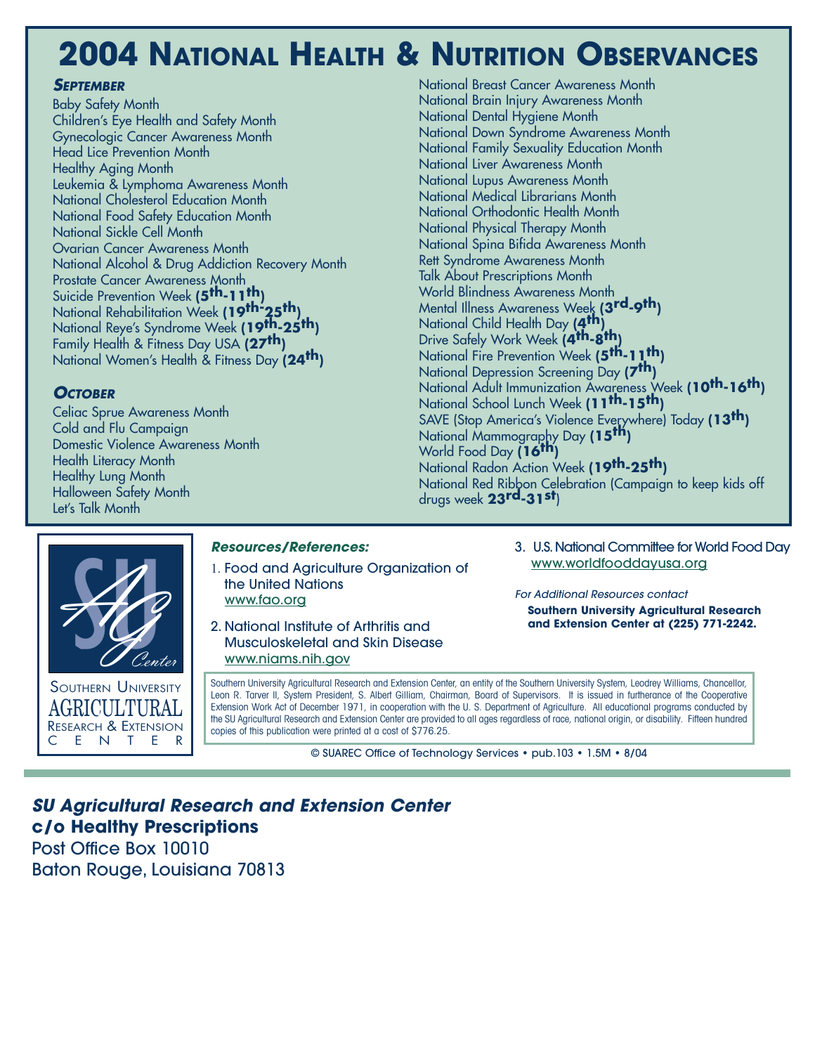# **2004 NATIONAL HEALTH & NUTRITION OBSERVANCES**

#### **SEPTEMBER**

Baby Safety Month Children's Eye Health and Safety Month Gynecologic Cancer Awareness Month Head Lice Prevention Month Healthy Aging Month Leukemia & Lymphoma Awareness Month National Cholesterol Education Month National Food Safety Education Month National Sickle Cell Month Ovarian Cancer Awareness Month National Alcohol & Drug Addiction Recovery Month Prostate Cancer Awareness Month Suicide Prevention Week **(5th-11th)** National Rehabilitation Week **(19th-25th)** National Reye's Syndrome Week **(19th-25th)** Family Health & Fitness Day USA **(27th)** National Women's Health & Fitness Day **(24th)**

#### **OCTOBER**

Celiac Sprue Awareness Month Cold and Flu Campaign Domestic Violence Awareness Month Health Literacy Month Healthy Lung Month Halloween Safety Month Let's Talk Month

National Breast Cancer Awareness Month National Brain Injury Awareness Month National Dental Hygiene Month National Down Syndrome Awareness Month National Family Sexuality Education Month National Liver Awareness Month National Lupus Awareness Month National Medical Librarians Month National Orthodontic Health Month National Physical Therapy Month National Spina Bifida Awareness Month Rett Syndrome Awareness Month Talk About Prescriptions Month World Blindness Awareness Month Mental Illness Awareness Week **(3rd-9th)** National Child Health Day **(4th)** Drive Safely Work Week **(4th-8th)** National Fire Prevention Week **(5th-11th)** National Depression Screening Day **(7th)** National Adult Immunization Awareness Week **(10th-16th)** National School Lunch Week **(11th-15th)** SAVE (Stop America's Violence Everywhere) Today **(13th)** National Mammography Day **(15th)** World Food Day **(16th)** National Radon Action Week **(19th-25th)** National Red Ribbon Celebration (Campaign to keep kids off drugs week **23rd-31st**)



RESEARCH & EXTENSION E N T E

AGRICULTURAL

#### **Resources/References:**

- 1. Food and Agriculture Organization of the United Nations www.fao.org
- 2. National Institute of Arthritis and Musculoskeletal and Skin Disease www.niams.nih.gov

3. U.S.National Committee for World Food Day www.worldfooddayusa.org

For Additional Resources contact **Southern University Agricultural Research and Extension Center at (225) 771-2242.**

Southern University Agricultural Research and Extension Center, an entity of the Southern University System, Leodrey Williams, Chancellor, Leon R. Tarver II, System President, S. Albert Gilliam, Chairman, Board of Supervisors. It is issued in furtherance of the Cooperative Extension Work Act of December 1971, in cooperation with the U. S. Department of Agriculture. All educational programs conducted by the SU Agricultural Research and Extension Center are provided to all ages regardless of race, national origin, or disability. Fifteen hundred copies of this publication were printed at a cost of \$776.25.

© SUAREC Office of Technology Services • pub.103 • 1.5M • 8/04

# **SU Agricultural Research and Extension Center c/o Healthy Prescriptions** Post Office Box 10010

Baton Rouge, Louisiana 70813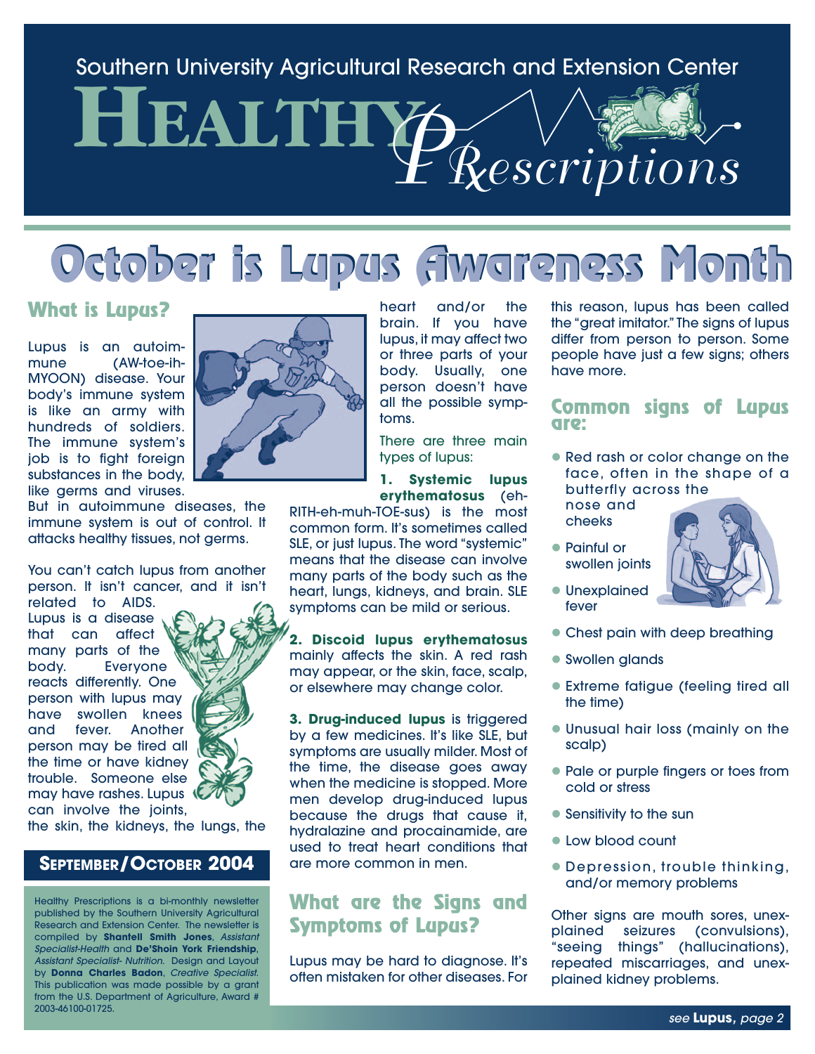# Southern University Agricultural Research and Extension Center

# **HEALTHY** *PRescriptions*

# **October is Lupus Awareness Month October is Lupus Awareness Month**

#### **What is Lupus?**

Lupus is an autoimmune (AW-toe-ih-MYOON) disease. Your body's immune system is like an army with hundreds of soldiers. The immune system's job is to fight foreign substances in the body, like germs and viruses.

But in autoimmune diseases, the immune system is out of control. It attacks healthy tissues, not germs.

You can't catch lupus from another person. It isn't cancer, and it isn't related to AIDS.

Lupus is a disease that can affect many parts of the body. Everyone reacts differently. One person with lupus may have swollen knees and fever. Another person may be tired all the time or have kidney trouble. Someone else may have rashes. Lupus can involve the joints,

the skin, the kidneys, the lungs, the

#### **SEPTEMBER/OCTOBER 2004**

Healthy Prescriptions is a bi-monthly newsletter published by the Southern University Agricultural Research and Extension Center. The newsletter is compiled by **Shantell Smith Jones**, Assistant Specialist-Health and **De'Shoin York Friendship**, Assistant Specialist- Nutrition. Design and Layout by **Donna Charles Badon**, Creative Specialist. This publication was made possible by a grant from the U.S. Department of Agriculture, Award # 2003-46100-01725.



heart and/or the brain. If you have lupus, it may affect two or three parts of your body. Usually, one person doesn't have all the possible symptoms.

There are three main types of lupus:

#### **1. Systemic lupus erythematosus** (eh-

RITH-eh-muh-TOE-sus) is the most common form. It's sometimes called SLE, or just lupus. The word "systemic" means that the disease can involve many parts of the body such as the heart, lungs, kidneys, and brain. SLE symptoms can be mild or serious.

**2. Discoid lupus erythematosus** mainly affects the skin. A red rash may appear, or the skin, face, scalp, or elsewhere may change color.

**3. Drug-induced lupus** is triggered by a few medicines. It's like SLE, but symptoms are usually milder. Most of the time, the disease goes away when the medicine is stopped. More men develop drug-induced lupus because the drugs that cause it, hydralazine and procainamide, are used to treat heart conditions that are more common in men.

## **What are the Signs and Symptoms of Lupus?**

Lupus may be hard to diagnose. It's often mistaken for other diseases. For this reason, lupus has been called the "great imitator." The signs of lupus differ from person to person. Some people have just a few signs; others have more.

#### **Common signs of Lupus are:**

• Red rash or color change on the face, often in the shape of a butterfly across the

nose and cheeks

• Painful or swollen joints

**I** Unexplained



- fever
- Chest pain with deep breathing
- Swollen glands
- Extreme fatigue (feeling tired all the time)
- **.** Unusual hair loss (mainly on the scalp)
- Pale or purple fingers or toes from cold or stress
- $\bullet$  Sensitivity to the sun
- Low blood count
- Depression, trouble thinking, and/or memory problems

Other signs are mouth sores, unexplained seizures (convulsions), "seeing things" (hallucinations), repeated miscarriages, and unexplained kidney problems.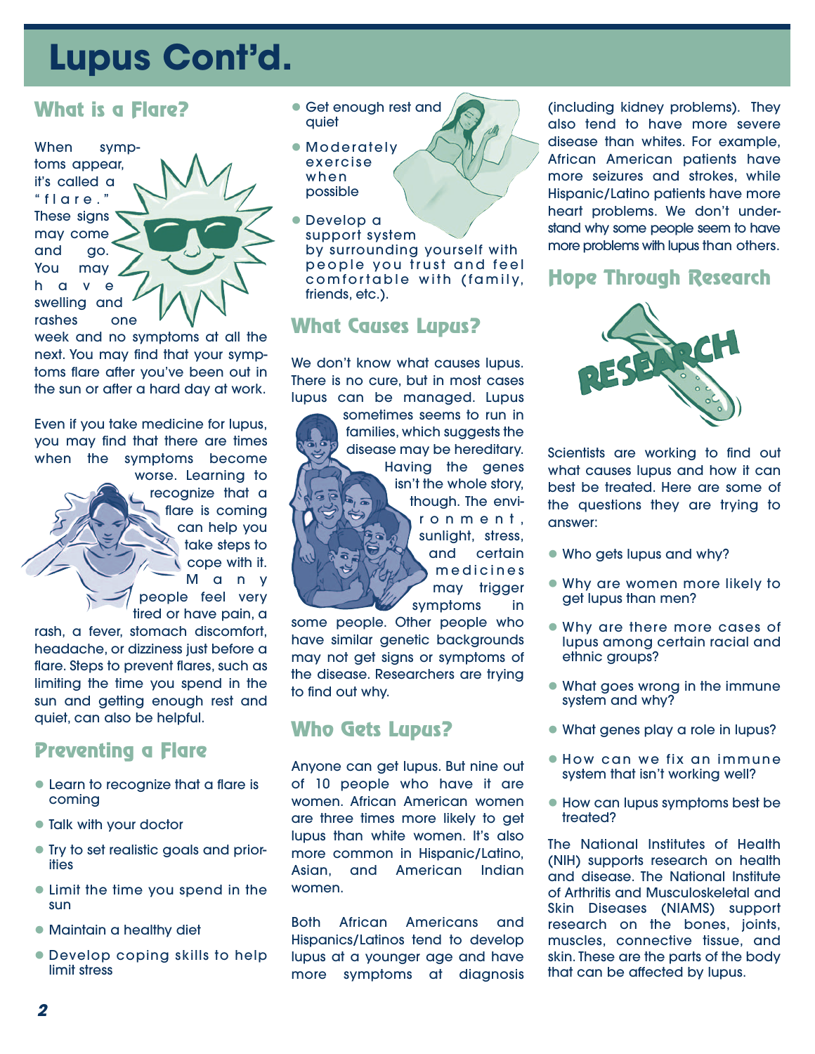# **Lupus Cont'd.**

## **What is a Flare?**

When symptoms appear, it's called a "flare." These signs may come and go. You may have swelling and rashes one

week and no symptoms at all the next. You may find that your symptoms flare after you've been out in the sun or after a hard day at work.

Even if you take medicine for lupus, you may find that there are times when the symptoms become

> worse. Learning to recognize that a flare is coming can help you take steps to cope with it. M a n y people feel very tired or have pain, a

rash, a fever, stomach discomfort, headache, or dizziness just before a flare. Steps to prevent flares, such as limiting the time you spend in the sun and getting enough rest and quiet, can also be helpful.

### **Preventing a Flare**

- Learn to recognize that a flare is coming
- Talk with your doctor
- $\bullet$  Try to set realistic goals and priorities
- Limit the time you spend in the sun
- Maintain a healthy diet
- **Develop coping skills to help** limit stress
- **Get enough rest and** quiet
- **Moderately** exercise when possible
- Develop a support system by surrounding yourself with people you trust and feel comfortable with (family, friends, etc.).

### **What Causes Lupus?**

We don't know what causes lupus. There is no cure, but in most cases lupus can be managed. Lupus

sometimes seems to run in families, which suggests the disease may be hereditary.



Having the genes isn't the whole story, though. The environment, sunlight, stress, and certain medicines may trigger symptoms in

some people. Other people who have similar genetic backgrounds may not get signs or symptoms of the disease. Researchers are trying to find out why.

### **Who Gets Lupus?**

Anyone can get lupus. But nine out of 10 people who have it are women. African American women are three times more likely to get lupus than white women. It's also more common in Hispanic/Latino, Asian, and American Indian women.

Both African Americans and Hispanics/Latinos tend to develop lupus at a younger age and have more symptoms at diagnosis

(including kidney problems). They also tend to have more severe disease than whites. For example, African American patients have more seizures and strokes, while Hispanic/Latino patients have more heart problems. We don't understand why some people seem to have more problems with lupus than others.

## **Hope Through Research**



Scientists are working to find out what causes lupus and how it can best be treated. Here are some of the questions they are trying to answer:

- Who gets lupus and why?
- Why are women more likely to get lupus than men?
- l Why are there more cases of lupus among certain racial and ethnic groups?
- What goes wrong in the immune system and why?
- What genes play a role in lupus?
- **How can we fix an immune** system that isn't working well?
- $\bullet$  How can lupus symptoms best be treated?

The National Institutes of Health (NIH) supports research on health and disease. The National Institute of Arthritis and Musculoskeletal and Skin Diseases (NIAMS) support research on the bones, joints, muscles, connective tissue, and skin. These are the parts of the body that can be affected by lupus.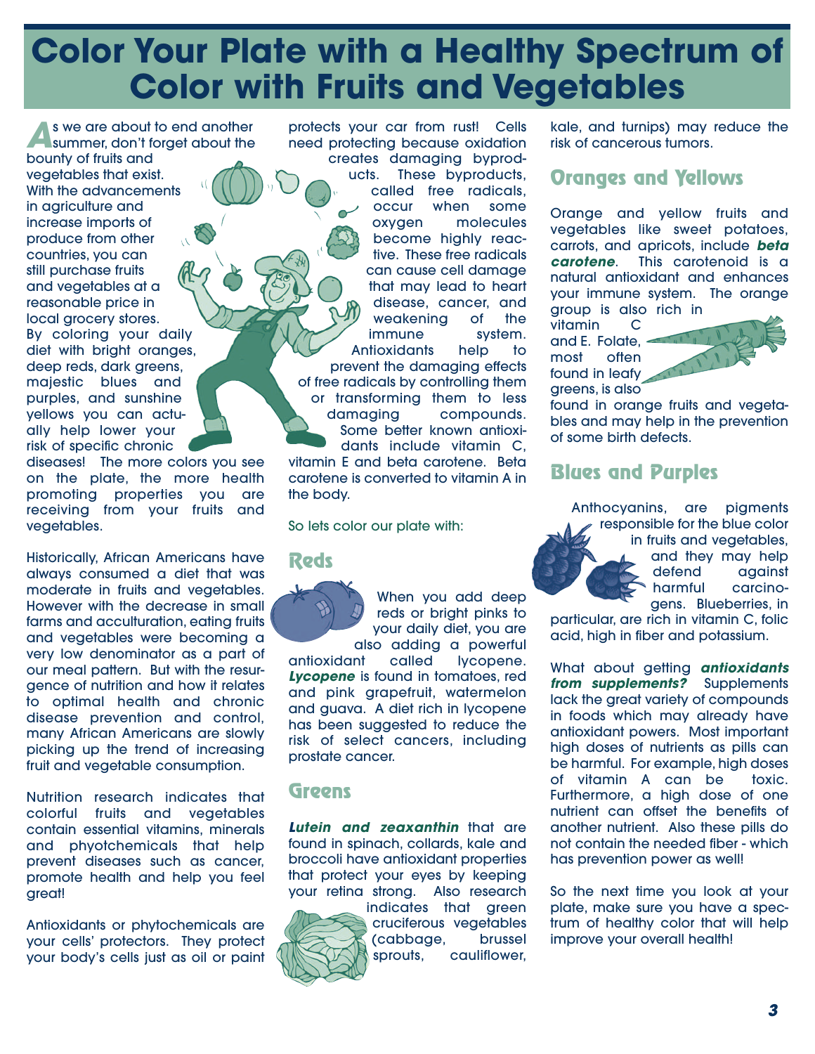# **Color Your Plate with a Healthy Spectrum of Color with Fruits and Vegetables**

**A**s we are about to end another<br>summer, don't forget about the bounty of fruits and vegetables that exist.

With the advancements in agriculture and increase imports of produce from other countries, you can still purchase fruits and vegetables at a reasonable price in local grocery stores. By coloring your daily diet with bright oranges, deep reds, dark greens, majestic blues and purples, and sunshine yellows you can actually help lower your risk of specific chronic

diseases! The more colors you see on the plate, the more health promoting properties you are receiving from your fruits and vegetables.

Historically, African Americans have always consumed a diet that was moderate in fruits and vegetables. However with the decrease in small farms and acculturation, eating fruits and vegetables were becoming a very low denominator as a part of our meal pattern. But with the resurgence of nutrition and how it relates to optimal health and chronic disease prevention and control, many African Americans are slowly picking up the trend of increasing fruit and vegetable consumption.

Nutrition research indicates that colorful fruits and vegetables contain essential vitamins, minerals and phyotchemicals that help prevent diseases such as cancer, promote health and help you feel great!

Antioxidants or phytochemicals are your cells' protectors. They protect your body's cells just as oil or paint protects your car from rust! Cells need protecting because oxidation creates damaging byprod-

ucts. These byproducts, called free radicals, occur when some oxygen molecules become highly reactive. These free radicals can cause cell damage that may lead to heart disease, cancer, and weakening of the immune system. Antioxidants help to prevent the damaging effects of free radicals by controlling them or transforming them to less damaging compounds. Some better known antioxi-

dants include vitamin C, vitamin E and beta carotene. Beta carotene is converted to vitamin A in the body.

So lets color our plate with:

#### **Reds**



When you add deep reds or bright pinks to your daily diet, you are also adding a powerful

antioxidant called lycopene. **Lycopene** is found in tomatoes, red and pink grapefruit, watermelon and guava. A diet rich in lycopene has been suggested to reduce the risk of select cancers, including prostate cancer.

#### **Greens**

**Lutein and zeaxanthin** that are found in spinach, collards, kale and broccoli have antioxidant properties that protect your eyes by keeping your retina strong. Also research

indicates that green cruciferous vegetables (cabbage, brussel sprouts, cauliflower,

kale, and turnips) may reduce the risk of cancerous tumors.

### **Oranges and Yellows**

Orange and yellow fruits and vegetables like sweet potatoes, carrots, and apricots, include **beta carotene**. This carotenoid is a natural antioxidant and enhances your immune system. The orange group is also rich in

vitamin C and E. Folate, most often found in leafy greens, is also



found in orange fruits and vegetables and may help in the prevention of some birth defects.

#### **Blues and Purples**

Anthocyanins, are pigments responsible for the blue color in fruits and vegetables, and they may help

defend against harmful carcinogens. Blueberries, in

particular, are rich in vitamin C, folic acid, high in fiber and potassium.

What about getting **antioxidants from supplements?** Supplements lack the great variety of compounds in foods which may already have antioxidant powers. Most important high doses of nutrients as pills can be harmful. For example, high doses of vitamin A can be toxic. Furthermore, a high dose of one nutrient can offset the benefits of another nutrient. Also these pills do not contain the needed fiber - which has prevention power as well!

So the next time you look at your plate, make sure you have a spectrum of healthy color that will help improve your overall health!